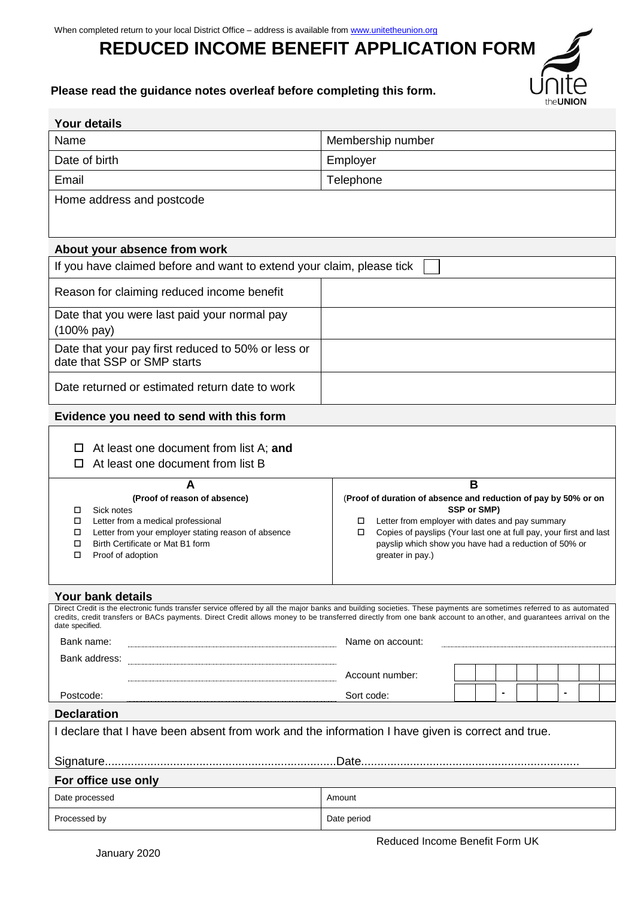# **REDUCED INCOME BENEFIT APPLICATION FORM**



## **Please read the guidance notes overleaf before completing this form.**

| <b>Your details</b>                                                                                                                                                                                                                                                                                                                                         |                                                                                                                                                                                                                                                                                                     |  |                |                                                                                                   |  |  |  |  |  |  |  |  |  |
|-------------------------------------------------------------------------------------------------------------------------------------------------------------------------------------------------------------------------------------------------------------------------------------------------------------------------------------------------------------|-----------------------------------------------------------------------------------------------------------------------------------------------------------------------------------------------------------------------------------------------------------------------------------------------------|--|----------------|---------------------------------------------------------------------------------------------------|--|--|--|--|--|--|--|--|--|
| Name                                                                                                                                                                                                                                                                                                                                                        | Membership number                                                                                                                                                                                                                                                                                   |  |                |                                                                                                   |  |  |  |  |  |  |  |  |  |
| Date of birth                                                                                                                                                                                                                                                                                                                                               | Employer                                                                                                                                                                                                                                                                                            |  |                |                                                                                                   |  |  |  |  |  |  |  |  |  |
| Email                                                                                                                                                                                                                                                                                                                                                       | Telephone                                                                                                                                                                                                                                                                                           |  |                |                                                                                                   |  |  |  |  |  |  |  |  |  |
| Home address and postcode                                                                                                                                                                                                                                                                                                                                   |                                                                                                                                                                                                                                                                                                     |  |                |                                                                                                   |  |  |  |  |  |  |  |  |  |
|                                                                                                                                                                                                                                                                                                                                                             |                                                                                                                                                                                                                                                                                                     |  |                |                                                                                                   |  |  |  |  |  |  |  |  |  |
| About your absence from work                                                                                                                                                                                                                                                                                                                                |                                                                                                                                                                                                                                                                                                     |  |                |                                                                                                   |  |  |  |  |  |  |  |  |  |
| If you have claimed before and want to extend your claim, please tick                                                                                                                                                                                                                                                                                       |                                                                                                                                                                                                                                                                                                     |  |                |                                                                                                   |  |  |  |  |  |  |  |  |  |
| Reason for claiming reduced income benefit                                                                                                                                                                                                                                                                                                                  |                                                                                                                                                                                                                                                                                                     |  |                |                                                                                                   |  |  |  |  |  |  |  |  |  |
| Date that you were last paid your normal pay<br>(100% pay)                                                                                                                                                                                                                                                                                                  |                                                                                                                                                                                                                                                                                                     |  |                |                                                                                                   |  |  |  |  |  |  |  |  |  |
| Date that your pay first reduced to 50% or less or<br>date that SSP or SMP starts                                                                                                                                                                                                                                                                           |                                                                                                                                                                                                                                                                                                     |  |                |                                                                                                   |  |  |  |  |  |  |  |  |  |
| Date returned or estimated return date to work                                                                                                                                                                                                                                                                                                              |                                                                                                                                                                                                                                                                                                     |  |                |                                                                                                   |  |  |  |  |  |  |  |  |  |
| Evidence you need to send with this form                                                                                                                                                                                                                                                                                                                    |                                                                                                                                                                                                                                                                                                     |  |                |                                                                                                   |  |  |  |  |  |  |  |  |  |
| At least one document from list A; and<br>At least one document from list B<br>П                                                                                                                                                                                                                                                                            |                                                                                                                                                                                                                                                                                                     |  |                |                                                                                                   |  |  |  |  |  |  |  |  |  |
| A<br>(Proof of reason of absence)<br>Sick notes<br>□<br>Letter from a medical professional<br>Letter from your employer stating reason of absence<br>□<br>Birth Certificate or Mat B1 form<br>□<br>Proof of adoption<br>□                                                                                                                                   | B<br>(Proof of duration of absence and reduction of pay by 50% or on<br>SSP or SMP)<br>Letter from employer with dates and pay summary<br>□<br>Copies of payslips (Your last one at full pay, your first and last<br>□<br>payslip which show you have had a reduction of 50% or<br>greater in pay.) |  |                |                                                                                                   |  |  |  |  |  |  |  |  |  |
| Your bank details                                                                                                                                                                                                                                                                                                                                           |                                                                                                                                                                                                                                                                                                     |  |                |                                                                                                   |  |  |  |  |  |  |  |  |  |
| Direct Credit is the electronic funds transfer service offered by all the major banks and building societies. These payments are sometimes referred to as automated<br>credits, credit transfers or BACs payments. Direct Credit allows money to be transferred directly from one bank account to another, and guarantees arrival on the<br>date specified. |                                                                                                                                                                                                                                                                                                     |  |                |                                                                                                   |  |  |  |  |  |  |  |  |  |
| Bank name:                                                                                                                                                                                                                                                                                                                                                  | Name on account:                                                                                                                                                                                                                                                                                    |  |                |                                                                                                   |  |  |  |  |  |  |  |  |  |
| Bank address:<br>$\begin{small} \begin{smallmatrix} 0 & 0 & 0 & 0 & 0 \\ 0 & 0 & 0 & 0 & 0 \\ 0 & 0 & 0 & 0 & 0 & 0 \\ 0 & 0 & 0 & 0 & 0 & 0 \\ 0 & 0 & 0 & 0 & 0 & 0 \\ 0 & 0 & 0 & 0 & 0 & 0 & 0 \\ 0 & 0 & 0 & 0 & 0 & 0 & 0 \\ 0 & 0 & 0 & 0 & 0 & 0 & 0 \\ 0 & 0 & 0 & 0 & 0 & 0 & 0 \\ 0 & 0 & 0 & 0 & 0 & 0 & 0 \\ 0 & 0 & 0 & 0 & 0 & 0 & 0$        |                                                                                                                                                                                                                                                                                                     |  |                |                                                                                                   |  |  |  |  |  |  |  |  |  |
|                                                                                                                                                                                                                                                                                                                                                             | Account number:                                                                                                                                                                                                                                                                                     |  |                |                                                                                                   |  |  |  |  |  |  |  |  |  |
| Postcode:                                                                                                                                                                                                                                                                                                                                                   | Sort code:                                                                                                                                                                                                                                                                                          |  | $\blacksquare$ |                                                                                                   |  |  |  |  |  |  |  |  |  |
| <b>Declaration</b>                                                                                                                                                                                                                                                                                                                                          |                                                                                                                                                                                                                                                                                                     |  |                |                                                                                                   |  |  |  |  |  |  |  |  |  |
|                                                                                                                                                                                                                                                                                                                                                             |                                                                                                                                                                                                                                                                                                     |  |                | I declare that I have been absent from work and the information I have given is correct and true. |  |  |  |  |  |  |  |  |  |
|                                                                                                                                                                                                                                                                                                                                                             |                                                                                                                                                                                                                                                                                                     |  |                |                                                                                                   |  |  |  |  |  |  |  |  |  |
|                                                                                                                                                                                                                                                                                                                                                             |                                                                                                                                                                                                                                                                                                     |  |                |                                                                                                   |  |  |  |  |  |  |  |  |  |
| For office use only                                                                                                                                                                                                                                                                                                                                         |                                                                                                                                                                                                                                                                                                     |  |                |                                                                                                   |  |  |  |  |  |  |  |  |  |
| Date processed                                                                                                                                                                                                                                                                                                                                              | Amount                                                                                                                                                                                                                                                                                              |  |                |                                                                                                   |  |  |  |  |  |  |  |  |  |
| Processed by                                                                                                                                                                                                                                                                                                                                                | Date period                                                                                                                                                                                                                                                                                         |  |                |                                                                                                   |  |  |  |  |  |  |  |  |  |